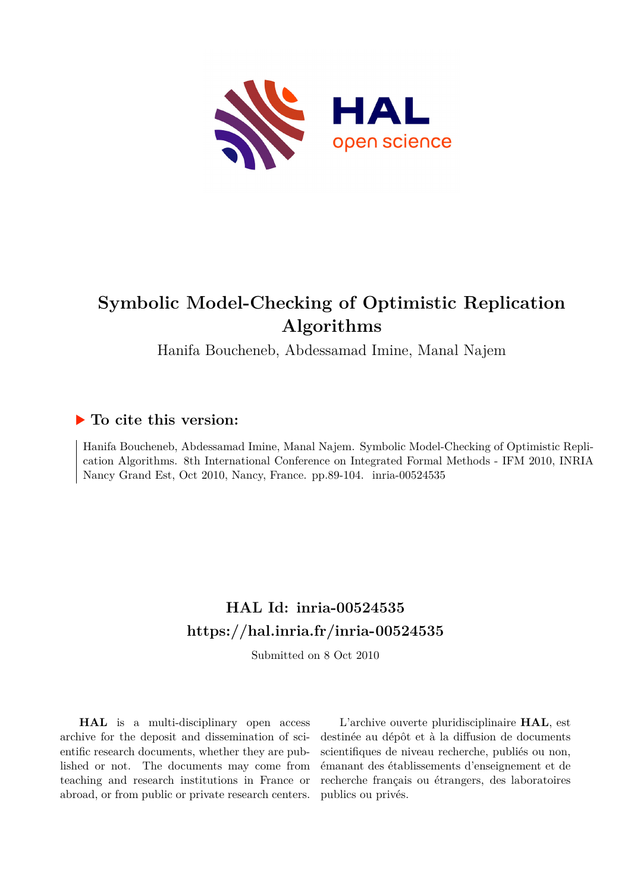

# **Symbolic Model-Checking of Optimistic Replication Algorithms**

Hanifa Boucheneb, Abdessamad Imine, Manal Najem

# **To cite this version:**

Hanifa Boucheneb, Abdessamad Imine, Manal Najem. Symbolic Model-Checking of Optimistic Replication Algorithms. 8th International Conference on Integrated Formal Methods - IFM 2010, INRIA Nancy Grand Est, Oct 2010, Nancy, France. pp.89-104. inria-00524535

# **HAL Id: inria-00524535 <https://hal.inria.fr/inria-00524535>**

Submitted on 8 Oct 2010

**HAL** is a multi-disciplinary open access archive for the deposit and dissemination of scientific research documents, whether they are published or not. The documents may come from teaching and research institutions in France or abroad, or from public or private research centers.

L'archive ouverte pluridisciplinaire **HAL**, est destinée au dépôt et à la diffusion de documents scientifiques de niveau recherche, publiés ou non, émanant des établissements d'enseignement et de recherche français ou étrangers, des laboratoires publics ou privés.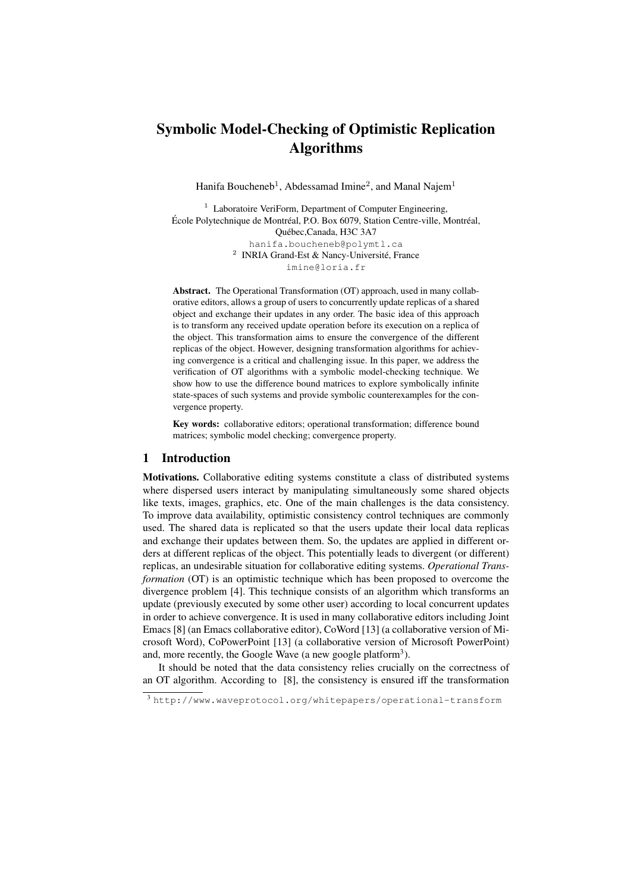# Symbolic Model-Checking of Optimistic Replication Algorithms

Hanifa Boucheneb<sup>1</sup>, Abdessamad Imine<sup>2</sup>, and Manal Najem<sup>1</sup>

 $1$  Laboratoire VeriForm, Department of Computer Engineering, École Polytechnique de Montréal, P.O. Box 6079, Station Centre-ville, Montréal, Quebec,Canada, H3C 3A7 ´ hanifa.boucheneb@polymtl.ca <sup>2</sup> INRIA Grand-Est & Nancy-Université, France imine@loria.fr

Abstract. The Operational Transformation (OT) approach, used in many collaborative editors, allows a group of users to concurrently update replicas of a shared object and exchange their updates in any order. The basic idea of this approach is to transform any received update operation before its execution on a replica of the object. This transformation aims to ensure the convergence of the different replicas of the object. However, designing transformation algorithms for achieving convergence is a critical and challenging issue. In this paper, we address the verification of OT algorithms with a symbolic model-checking technique. We show how to use the difference bound matrices to explore symbolically infinite state-spaces of such systems and provide symbolic counterexamples for the convergence property.

Key words: collaborative editors; operational transformation; difference bound matrices; symbolic model checking; convergence property.

# 1 Introduction

Motivations. Collaborative editing systems constitute a class of distributed systems where dispersed users interact by manipulating simultaneously some shared objects like texts, images, graphics, etc. One of the main challenges is the data consistency. To improve data availability, optimistic consistency control techniques are commonly used. The shared data is replicated so that the users update their local data replicas and exchange their updates between them. So, the updates are applied in different orders at different replicas of the object. This potentially leads to divergent (or different) replicas, an undesirable situation for collaborative editing systems. *Operational Transformation* (OT) is an optimistic technique which has been proposed to overcome the divergence problem [4]. This technique consists of an algorithm which transforms an update (previously executed by some other user) according to local concurrent updates in order to achieve convergence. It is used in many collaborative editors including Joint Emacs [8] (an Emacs collaborative editor), CoWord [13] (a collaborative version of Microsoft Word), CoPowerPoint [13] (a collaborative version of Microsoft PowerPoint) and, more recently, the Google Wave (a new google platform<sup>3</sup>).

It should be noted that the data consistency relies crucially on the correctness of an OT algorithm. According to [8], the consistency is ensured iff the transformation

<sup>3</sup> http://www.waveprotocol.org/whitepapers/operational-transform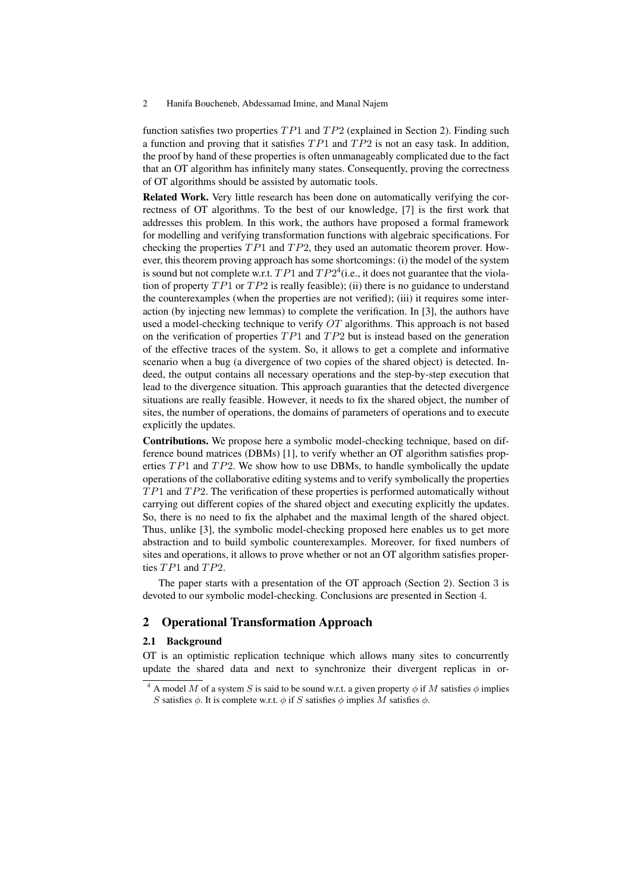function satisfies two properties  $TP1$  and  $TP2$  (explained in Section 2). Finding such a function and proving that it satisfies  $TP1$  and  $TP2$  is not an easy task. In addition, the proof by hand of these properties is often unmanageably complicated due to the fact that an OT algorithm has infinitely many states. Consequently, proving the correctness of OT algorithms should be assisted by automatic tools.

Related Work. Very little research has been done on automatically verifying the correctness of OT algorithms. To the best of our knowledge, [7] is the first work that addresses this problem. In this work, the authors have proposed a formal framework for modelling and verifying transformation functions with algebraic specifications. For checking the properties  $TP1$  and  $TP2$ , they used an automatic theorem prover. However, this theorem proving approach has some shortcomings: (i) the model of the system is sound but not complete w.r.t.  $TP1$  and  $TP2<sup>4</sup>$  (i.e., it does not guarantee that the violation of property  $TP1$  or  $TP2$  is really feasible); (ii) there is no guidance to understand the counterexamples (when the properties are not verified); (iii) it requires some interaction (by injecting new lemmas) to complete the verification. In [3], the authors have used a model-checking technique to verify  $OT$  algorithms. This approach is not based on the verification of properties  $TP1$  and  $TP2$  but is instead based on the generation of the effective traces of the system. So, it allows to get a complete and informative scenario when a bug (a divergence of two copies of the shared object) is detected. Indeed, the output contains all necessary operations and the step-by-step execution that lead to the divergence situation. This approach guaranties that the detected divergence situations are really feasible. However, it needs to fix the shared object, the number of sites, the number of operations, the domains of parameters of operations and to execute explicitly the updates.

Contributions. We propose here a symbolic model-checking technique, based on difference bound matrices (DBMs) [1], to verify whether an OT algorithm satisfies properties  $TP1$  and  $TP2$ . We show how to use DBMs, to handle symbolically the update operations of the collaborative editing systems and to verify symbolically the properties  $TP1$  and  $TP2$ . The verification of these properties is performed automatically without carrying out different copies of the shared object and executing explicitly the updates. So, there is no need to fix the alphabet and the maximal length of the shared object. Thus, unlike [3], the symbolic model-checking proposed here enables us to get more abstraction and to build symbolic counterexamples. Moreover, for fixed numbers of sites and operations, it allows to prove whether or not an OT algorithm satisfies properties TP1 and TP2.

The paper starts with a presentation of the OT approach (Section 2). Section 3 is devoted to our symbolic model-checking. Conclusions are presented in Section 4.

# 2 Operational Transformation Approach

## 2.1 Background

OT is an optimistic replication technique which allows many sites to concurrently update the shared data and next to synchronize their divergent replicas in or-

<sup>&</sup>lt;sup>4</sup> A model M of a system S is said to be sound w.r.t. a given property  $\phi$  if M satisfies  $\phi$  implies S satisfies  $\phi$ . It is complete w.r.t.  $\phi$  if S satisfies  $\phi$  implies M satisfies  $\phi$ .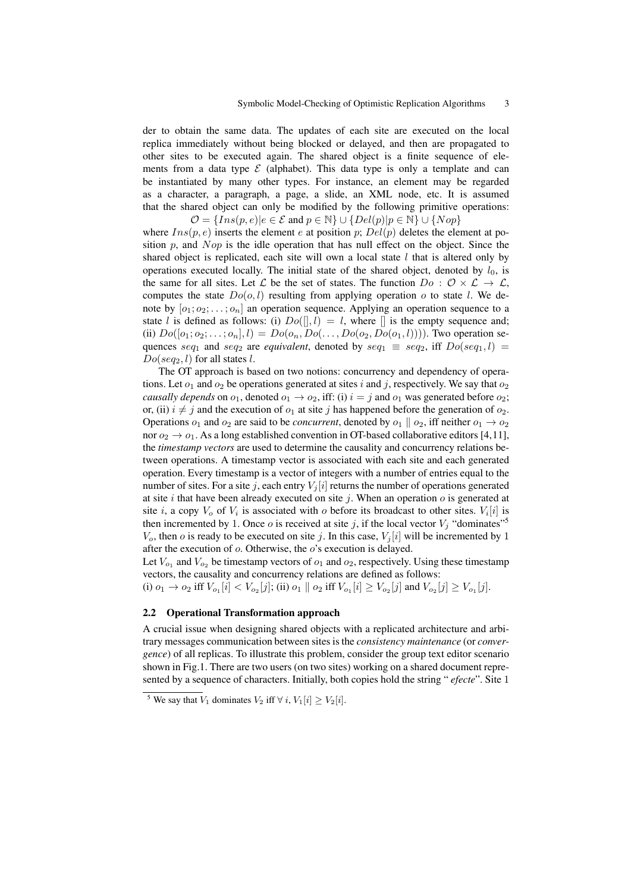der to obtain the same data. The updates of each site are executed on the local replica immediately without being blocked or delayed, and then are propagated to other sites to be executed again. The shared object is a finite sequence of elements from a data type  $\mathcal E$  (alphabet). This data type is only a template and can be instantiated by many other types. For instance, an element may be regarded as a character, a paragraph, a page, a slide, an XML node, etc. It is assumed that the shared object can only be modified by the following primitive operations:  $\mathcal{O} = \{Ins(p, e) | e \in \mathcal{E} \text{ and } p \in \mathbb{N} \} \cup \{Del(p) | p \in \mathbb{N} \} \cup \{Nop\}$ 

where  $Ins(p, e)$  inserts the element e at position p;  $Del(p)$  deletes the element at position  $p$ , and  $Nop$  is the idle operation that has null effect on the object. Since the shared object is replicated, each site will own a local state  $l$  that is altered only by operations executed locally. The initial state of the shared object, denoted by  $l_0$ , is the same for all sites. Let L be the set of states. The function  $Do: O \times L \rightarrow L$ , computes the state  $Do(o, l)$  resulting from applying operation o to state l. We denote by  $[o_1; o_2; \ldots; o_n]$  an operation sequence. Applying an operation sequence to a state l is defined as follows: (i)  $Do($ [], l) = l, where [] is the empty sequence and; (ii)  $Do([o_1; o_2; \ldots; o_n], l) = Do(o_n, Do(\ldots, Do(o_2, Do(o_1, l)))$ . Two operation sequences seq<sub>1</sub> and seq<sub>2</sub> are *equivalent*, denoted by seq<sub>1</sub>  $\equiv$  seq<sub>2</sub>, iff  $Do(seq_1, l)$  =  $Do(seq_2, l)$  for all states l.

The OT approach is based on two notions: concurrency and dependency of operations. Let  $o_1$  and  $o_2$  be operations generated at sites i and j, respectively. We say that  $o_2$ *causally depends* on  $o_1$ , denoted  $o_1 \rightarrow o_2$ , iff: (i)  $i = j$  and  $o_1$  was generated before  $o_2$ ; or, (ii)  $i \neq j$  and the execution of  $o_1$  at site j has happened before the generation of  $o_2$ . Operations  $o_1$  and  $o_2$  are said to be *concurrent*, denoted by  $o_1 \parallel o_2$ , iff neither  $o_1 \rightarrow o_2$ nor  $o_2 \rightarrow o_1$ . As a long established convention in OT-based collaborative editors [4,11], the *timestamp vectors* are used to determine the causality and concurrency relations between operations. A timestamp vector is associated with each site and each generated operation. Every timestamp is a vector of integers with a number of entries equal to the number of sites. For a site j, each entry  $V_i[i]$  returns the number of operations generated at site i that have been already executed on site j. When an operation  $o$  is generated at site *i*, a copy  $V_o$  of  $V_i$  is associated with *o* before its broadcast to other sites.  $V_i[i]$  is then incremented by 1. Once o is received at site j, if the local vector  $V_j$  "dominates"<sup>5</sup>  $V<sub>o</sub>$ , then *o* is ready to be executed on site *j*. In this case,  $V<sub>i</sub>[i]$  will be incremented by 1 after the execution of o. Otherwise, the o's execution is delayed.

Let  $V_{o_1}$  and  $V_{o_2}$  be timestamp vectors of  $o_1$  and  $o_2$ , respectively. Using these timestamp vectors, the causality and concurrency relations are defined as follows:

(i)  $o_1 \to o_2$  iff  $V_{o_1}[i] < V_{o_2}[j]$ ; (ii)  $o_1 \parallel o_2$  iff  $V_{o_1}[i] \geq V_{o_2}[j]$  and  $V_{o_2}[j] \geq V_{o_1}[j]$ .

# 2.2 Operational Transformation approach

A crucial issue when designing shared objects with a replicated architecture and arbitrary messages communication between sites is the *consistency maintenance* (or *convergence*) of all replicas. To illustrate this problem, consider the group text editor scenario shown in Fig.1. There are two users (on two sites) working on a shared document represented by a sequence of characters. Initially, both copies hold the string " *efecte*". Site 1

<sup>&</sup>lt;sup>5</sup> We say that  $V_1$  dominates  $V_2$  iff  $\forall i, V_1[i] \geq V_2[i]$ .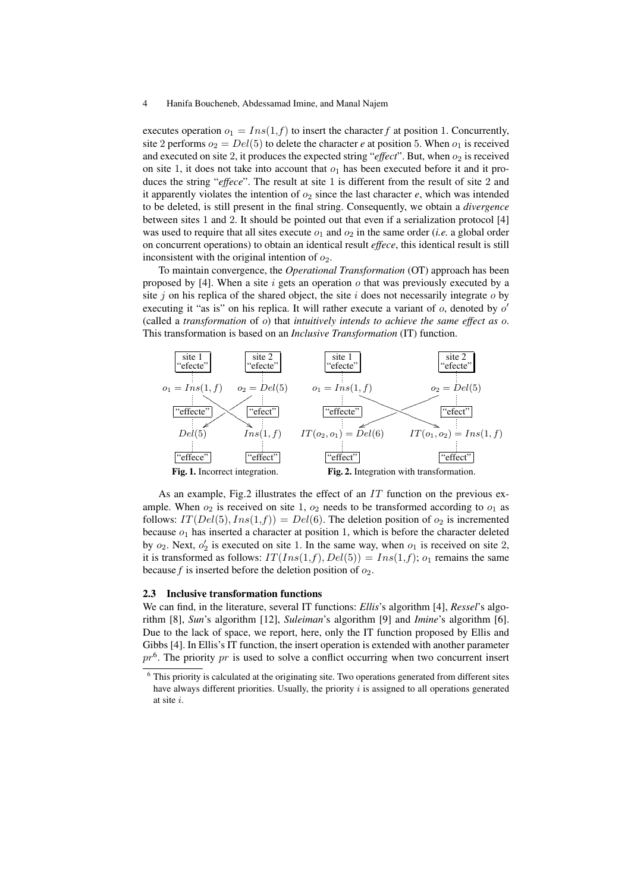executes operation  $o_1 = Ins(1, f)$  to insert the character *f* at position 1. Concurrently, site 2 performs  $o_2 = Del(5)$  to delete the character *e* at position 5. When  $o_1$  is received and executed on site 2, it produces the expected string " $effect$ ". But, when  $o_2$  is received on site 1, it does not take into account that  $o_1$  has been executed before it and it produces the string "*effece*". The result at site 1 is different from the result of site 2 and it apparently violates the intention of  $o_2$  since the last character  $e$ , which was intended to be deleted, is still present in the final string. Consequently, we obtain a *divergence* between sites 1 and 2. It should be pointed out that even if a serialization protocol [4] was used to require that all sites execute  $o_1$  and  $o_2$  in the same order (*i.e.* a global order on concurrent operations) to obtain an identical result *effece*, this identical result is still inconsistent with the original intention of  $o_2$ .

To maintain convergence, the *Operational Transformation* (OT) approach has been proposed by [4]. When a site  $i$  gets an operation  $o$  that was previously executed by a site j on his replica of the shared object, the site  $i$  does not necessarily integrate  $o$  by executing it "as is" on his replica. It will rather execute a variant of  $o$ , denoted by  $o'$ (called a *transformation* of o) that *intuitively intends to achieve the same effect as* o. This transformation is based on an *Inclusive Transformation* (IT) function.



As an example, Fig.2 illustrates the effect of an  $IT$  function on the previous example. When  $o_2$  is received on site 1,  $o_2$  needs to be transformed according to  $o_1$  as follows:  $IT(Del(5), Ins(1, f)) = Del(6)$ . The deletion position of  $o_2$  is incremented because  $o_1$  has inserted a character at position 1, which is before the character deleted by  $o_2$ . Next,  $o'_2$  is executed on site 1. In the same way, when  $o_1$  is received on site 2, it is transformed as follows:  $IT(Ins(1, f), Del(5)) = Ins(1, f); o_1$  remains the same because  $f$  is inserted before the deletion position of  $o_2$ .

#### 2.3 Inclusive transformation functions

We can find, in the literature, several IT functions: *Ellis*'s algorithm [4], *Ressel*'s algorithm [8], *Sun*'s algorithm [12], *Suleiman*'s algorithm [9] and *Imine*'s algorithm [6]. Due to the lack of space, we report, here, only the IT function proposed by Ellis and Gibbs [4]. In Ellis's IT function, the insert operation is extended with another parameter  $pr<sup>6</sup>$ . The priority  $pr$  is used to solve a conflict occurring when two concurrent insert

<sup>&</sup>lt;sup>6</sup> This priority is calculated at the originating site. Two operations generated from different sites have always different priorities. Usually, the priority  $i$  is assigned to all operations generated at site i.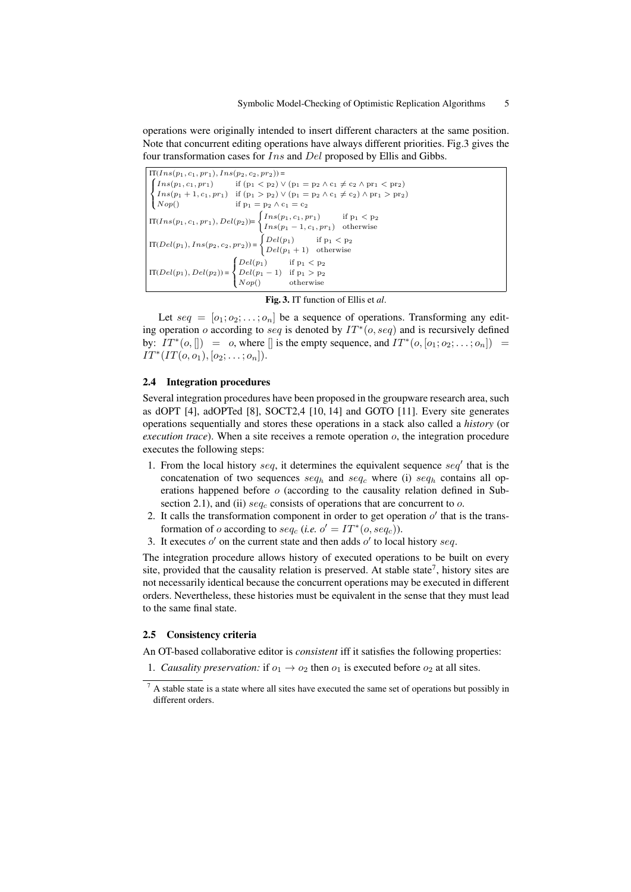operations were originally intended to insert different characters at the same position. Note that concurrent editing operations have always different priorities. Fig.3 gives the four transformation cases for  $Ins$  and  $Del$  proposed by Ellis and Gibbs.

| $IT(Ins(p_1, c_1, pr_1), Ins(p_2, c_2, pr_2)) =$                                                                                                                                                               |                                                                                                                                                                                                                                                                                                                                                                                |  |  |  |  |  |
|----------------------------------------------------------------------------------------------------------------------------------------------------------------------------------------------------------------|--------------------------------------------------------------------------------------------------------------------------------------------------------------------------------------------------------------------------------------------------------------------------------------------------------------------------------------------------------------------------------|--|--|--|--|--|
|                                                                                                                                                                                                                | $\begin{cases} \mathop{\cal I}\nolimits n s (p_1, c_1, pr_1) & \text{ if } (p_1 < p_2) \vee (p_1 = p_2 \wedge c_1 \neq c_2 \wedge pr_1 < pr_2) \\ \mathop{\cal I}\nolimits n s (p_1 + 1, c_1, pr_1) & \text{ if } (p_1 > p_2) \vee (p_1 = p_2 \wedge c_1 \neq c_2) \wedge pr_1 > pr_2) \\ \mathop{\cal N}\nolimits o p() & \text{ if } p_1 = p_2 \wedge c_1 = c_2 \end{cases}$ |  |  |  |  |  |
|                                                                                                                                                                                                                |                                                                                                                                                                                                                                                                                                                                                                                |  |  |  |  |  |
|                                                                                                                                                                                                                |                                                                                                                                                                                                                                                                                                                                                                                |  |  |  |  |  |
|                                                                                                                                                                                                                |                                                                                                                                                                                                                                                                                                                                                                                |  |  |  |  |  |
|                                                                                                                                                                                                                | $\begin{aligned} &\text{IT}(Ins(p_1, c_1, pr_1), Del(p_2)) = \begin{cases} Ins(p_1, c_1, pr_1) & \text{if } p_1 < p_2 \\ Ins(p_1 - 1, c_1, pr_1) & \text{otherwise} \end{cases} \\ &\text{IT}(Del(p_1), Ins(p_2, c_2, pr_2)) = \begin{cases} Del(p_1) & \text{if } p_1 < p_2 \\ Del(p_1 + 1) & \text{otherwise} \end{cases} \end{aligned}$                                     |  |  |  |  |  |
| $\textit{IT}(\mathit{Del}(p_1),\mathit{Del}(p_2)) \!=\! \begin{cases} \mathit{Del}(p_1) & \text{if } p_1 < p_2 \\ \mathit{Del}(p_1-1) & \text{if } p_1 > p_2 \\ \mathit{Nop}() & \text{otherwise} \end{cases}$ |                                                                                                                                                                                                                                                                                                                                                                                |  |  |  |  |  |

Fig. 3. IT function of Ellis et *al*.

Let  $seq = [o_1; o_2; \ldots; o_n]$  be a sequence of operations. Transforming any editing operation o according to seq is denoted by  $IT^*(o, seq)$  and is recursively defined by:  $IT^*(o, [] = o$ , where  $[]$  is the empty sequence, and  $IT^*(o, [o_1; o_2; \dots; o_n]) =$  $IT^*(IT(o, o_1), [o_2; \ldots; o_n]).$ 

## 2.4 Integration procedures

Several integration procedures have been proposed in the groupware research area, such as dOPT [4], adOPTed [8], SOCT2,4 [10, 14] and GOTO [11]. Every site generates operations sequentially and stores these operations in a stack also called a *history* (or *execution trace*). When a site receives a remote operation *o*, the integration procedure executes the following steps:

- 1. From the local history  $seq$ , it determines the equivalent sequence  $seq'$  that is the concatenation of two sequences  $seq_h$  and  $seq_c$  where (i)  $seq_h$  contains all operations happened before o (according to the causality relation defined in Subsection 2.1), and (ii)  $seq_c$  consists of operations that are concurrent to  $o$ .
- 2. It calls the transformation component in order to get operation  $o'$  that is the transformation of *o* according to  $seq_c$  (*i.e.*  $o' = IT^*(o, seq_c)$ ).
- 3. It executes  $o'$  on the current state and then adds  $o'$  to local history seq.

The integration procedure allows history of executed operations to be built on every site, provided that the causality relation is preserved. At stable state<sup>7</sup>, history sites are not necessarily identical because the concurrent operations may be executed in different orders. Nevertheless, these histories must be equivalent in the sense that they must lead to the same final state.

## 2.5 Consistency criteria

An OT-based collaborative editor is *consistent* iff it satisfies the following properties:

1. *Causality preservation:* if  $o_1 \rightarrow o_2$  then  $o_1$  is executed before  $o_2$  at all sites.

 $7$  A stable state is a state where all sites have executed the same set of operations but possibly in different orders.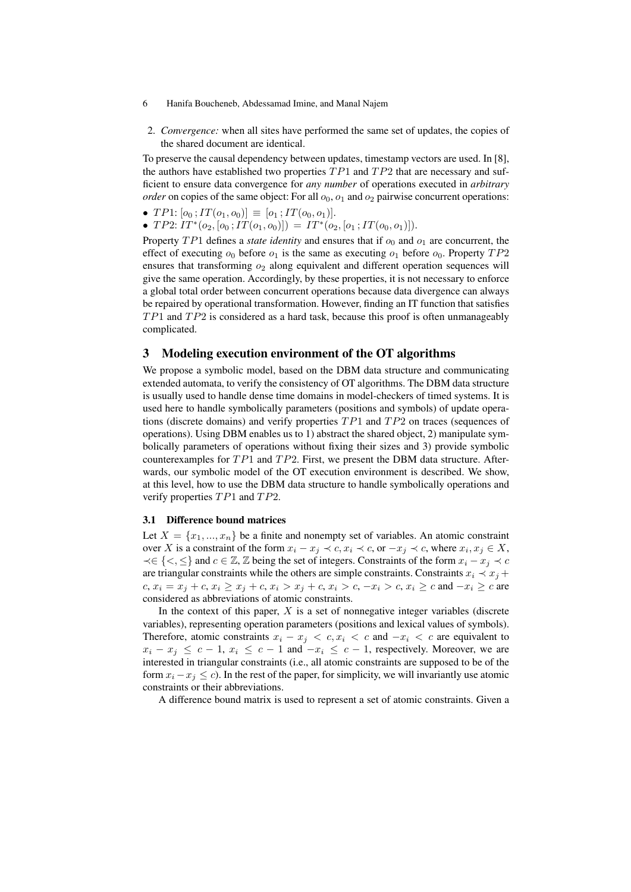- 6 Hanifa Boucheneb, Abdessamad Imine, and Manal Najem
- 2. *Convergence:* when all sites have performed the same set of updates, the copies of the shared document are identical.

To preserve the causal dependency between updates, timestamp vectors are used. In [8], the authors have established two properties  $TP1$  and  $TP2$  that are necessary and sufficient to ensure data convergence for *any number* of operations executed in *arbitrary order* on copies of the same object: For all  $o<sub>0</sub>$ ,  $o<sub>1</sub>$  and  $o<sub>2</sub>$  pairwise concurrent operations:

- TP1:  $[o_0; IT(o_1, o_0)] \equiv [o_1; IT(o_0, o_1)].$
- TP2:  $IT^*(o_2, [o_0; IT(o_1, o_0)]) = IT^*(o_2, [o_1; IT(o_0, o_1)]).$

Property  $TP1$  defines a *state identity* and ensures that if  $o_0$  and  $o_1$  are concurrent, the effect of executing  $o_0$  before  $o_1$  is the same as executing  $o_1$  before  $o_0$ . Property  $TP2$ ensures that transforming  $o_2$  along equivalent and different operation sequences will give the same operation. Accordingly, by these properties, it is not necessary to enforce a global total order between concurrent operations because data divergence can always be repaired by operational transformation. However, finding an IT function that satisfies  $TP1$  and  $TP2$  is considered as a hard task, because this proof is often unmanageably complicated.

# 3 Modeling execution environment of the OT algorithms

We propose a symbolic model, based on the DBM data structure and communicating extended automata, to verify the consistency of OT algorithms. The DBM data structure is usually used to handle dense time domains in model-checkers of timed systems. It is used here to handle symbolically parameters (positions and symbols) of update operations (discrete domains) and verify properties  $TP1$  and  $TP2$  on traces (sequences of operations). Using DBM enables us to 1) abstract the shared object, 2) manipulate symbolically parameters of operations without fixing their sizes and 3) provide symbolic counterexamples for  $TP1$  and  $TP2$ . First, we present the DBM data structure. Afterwards, our symbolic model of the OT execution environment is described. We show, at this level, how to use the DBM data structure to handle symbolically operations and verify properties  $TP1$  and  $TP2$ .

## 3.1 Difference bound matrices

Let  $X = \{x_1, ..., x_n\}$  be a finite and nonempty set of variables. An atomic constraint over X is a constraint of the form  $x_i - x_j \prec c, x_i \prec c$ , or  $-x_j \prec c$ , where  $x_i, x_j \in X$ ,  $\prec \in \{<,\leq\}$  and  $c \in \mathbb{Z}, \mathbb{Z}$  being the set of integers. Constraints of the form  $x_i - x_j \prec c$ are triangular constraints while the others are simple constraints. Constraints  $x_i \prec x_j +$ c,  $x_i = x_j + c$ ,  $x_i \ge x_j + c$ ,  $x_i > x_j + c$ ,  $x_i > c$ ,  $-x_i > c$ ,  $x_i \ge c$  and  $-x_i \ge c$  are considered as abbreviations of atomic constraints.

In the context of this paper,  $X$  is a set of nonnegative integer variables (discrete variables), representing operation parameters (positions and lexical values of symbols). Therefore, atomic constraints  $x_i - x_j < c, x_i < c$  and  $-x_i < c$  are equivalent to  $x_i - x_j \leq c - 1$ ,  $x_i \leq c - 1$  and  $-x_i \leq c - 1$ , respectively. Moreover, we are interested in triangular constraints (i.e., all atomic constraints are supposed to be of the form  $x_i - x_j \leq c$ ). In the rest of the paper, for simplicity, we will invariantly use atomic constraints or their abbreviations.

A difference bound matrix is used to represent a set of atomic constraints. Given a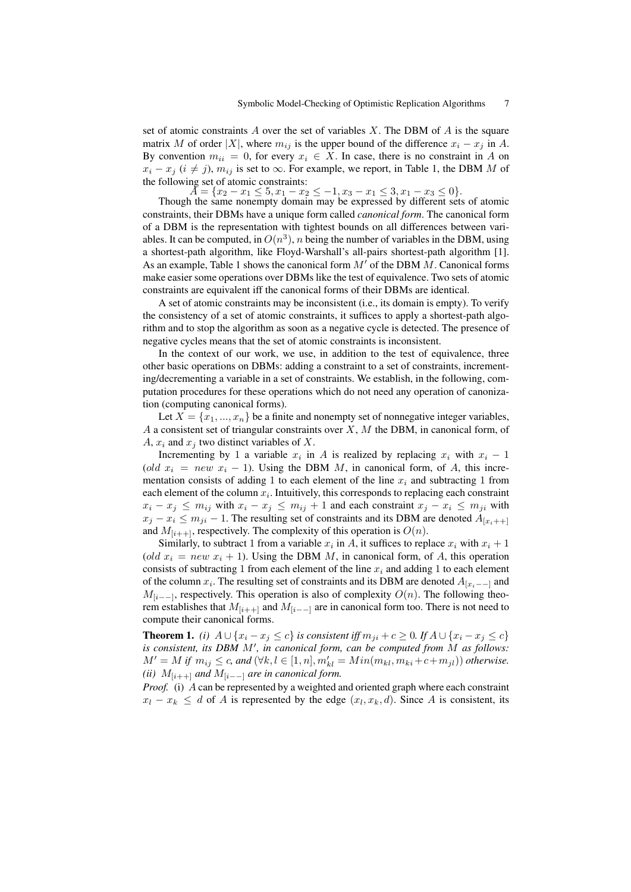set of atomic constraints  $A$  over the set of variables  $X$ . The DBM of  $A$  is the square matrix M of order |X|, where  $m_{ij}$  is the upper bound of the difference  $x_i - x_j$  in A. By convention  $m_{ii} = 0$ , for every  $x_i \in X$ . In case, there is no constraint in A on  $x_i - x_j$  ( $i \neq j$ ),  $m_{ij}$  is set to  $\infty$ . For example, we report, in Table 1, the DBM M of the following set of atomic constraints:

 $A = \{x_2 - x_1 \leq 5, x_1 - x_2 \leq -1, x_3 - x_1 \leq 3, x_1 - x_3 \leq 0\}.$ 

Though the same nonempty domain may be expressed by different sets of atomic constraints, their DBMs have a unique form called *canonical form*. The canonical form of a DBM is the representation with tightest bounds on all differences between variables. It can be computed, in  $O(n^3)$ , n being the number of variables in the DBM, using a shortest-path algorithm, like Floyd-Warshall's all-pairs shortest-path algorithm [1]. As an example, Table 1 shows the canonical form  $M'$  of the DBM M. Canonical forms make easier some operations over DBMs like the test of equivalence. Two sets of atomic constraints are equivalent iff the canonical forms of their DBMs are identical.

A set of atomic constraints may be inconsistent (i.e., its domain is empty). To verify the consistency of a set of atomic constraints, it suffices to apply a shortest-path algorithm and to stop the algorithm as soon as a negative cycle is detected. The presence of negative cycles means that the set of atomic constraints is inconsistent.

In the context of our work, we use, in addition to the test of equivalence, three other basic operations on DBMs: adding a constraint to a set of constraints, incrementing/decrementing a variable in a set of constraints. We establish, in the following, computation procedures for these operations which do not need any operation of canonization (computing canonical forms).

Let  $X = \{x_1, ..., x_n\}$  be a finite and nonempty set of nonnegative integer variables,  $A$  a consistent set of triangular constraints over  $X$ ,  $M$  the DBM, in canonical form, of A,  $x_i$  and  $x_j$  two distinct variables of X.

Incrementing by 1 a variable  $x_i$  in A is realized by replacing  $x_i$  with  $x_i - 1$ (old  $x_i = new \ x_i - 1$ ). Using the DBM M, in canonical form, of A, this incrementation consists of adding 1 to each element of the line  $x_i$  and subtracting 1 from each element of the column  $x_i$ . Intuitively, this corresponds to replacing each constraint  $x_i - x_j \le m_{ij}$  with  $x_i - x_j \le m_{ij} + 1$  and each constraint  $x_j - x_i \le m_{ji}$  with  $x_i - x_i \le m_{ii} - 1$ . The resulting set of constraints and its DBM are denoted  $A_{[x_i, ++]}$ and  $M_{[i+1]}$ , respectively. The complexity of this operation is  $O(n)$ .

Similarly, to subtract 1 from a variable  $x_i$  in A, it suffices to replace  $x_i$  with  $x_i + 1$ (old  $x_i = new x_i + 1$ ). Using the DBM M, in canonical form, of A, this operation consists of subtracting 1 from each element of the line  $x_i$  and adding 1 to each element of the column  $x_i$ . The resulting set of constraints and its DBM are denoted  $A_{[x_i,-]}$  and  $M_{[i-1]}$ , respectively. This operation is also of complexity  $O(n)$ . The following theorem establishes that  $M_{[i++]}$  and  $M_{[i-+]}$  are in canonical form too. There is not need to compute their canonical forms.

**Theorem 1.** *(i)*  $A \cup \{x_i - x_j \leq c\}$  *is consistent iff*  $m_{ji} + c \geq 0$ *. If*  $A \cup \{x_i - x_j \leq c\}$ *is consistent, its DBM* M′ *, in canonical form, can be computed from* M *as follows:*  $M' = M$  if  $m_{ij} \leq c$ , and  $(\forall k, l \in [1, n], m'_{kl} = Min(m_{kl}, m_{ki} + c + m_{jl}))$  *otherwise. (ii)*  $M_{[i++1]}$  *and*  $M_{[i-1]}$  *are in canonical form.* 

*Proof.* (i) A can be represented by a weighted and oriented graph where each constraint  $x_l - x_k \leq d$  of A is represented by the edge  $(x_l, x_k, d)$ . Since A is consistent, its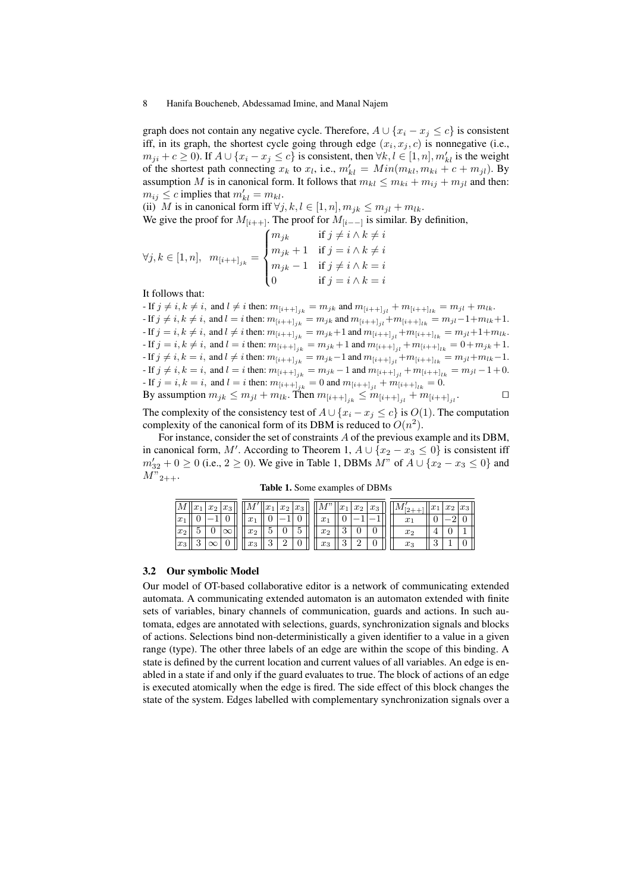graph does not contain any negative cycle. Therefore,  $A \cup \{x_i - x_j \le c\}$  is consistent iff, in its graph, the shortest cycle going through edge  $(x_i, x_j, c)$  is nonnegative (i.e.,  $m_{ji} + c \ge 0$ ). If  $A \cup \{x_i - x_j \le c\}$  is consistent, then  $\forall k, l \in [1, n], m'_{kl}$  is the weight of the shortest path connecting  $x_k$  to  $x_l$ , i.e.,  $m'_{kl} = Min(m_{kl}, m_{ki} + c + m_{jl})$ . By assumption M is in canonical form. It follows that  $m_{kl} \le m_{ki} + m_{ij} + m_{jl}$  and then:  $m_{ij} \leq c$  implies that  $m'_{kl} = m_{kl}$ .

(ii) M is in canonical form iff  $\forall j, k, l \in [1, n], m_{ik} \leq m_{il} + m_{lk}$ .

We give the proof for  $M_{[i_{++1}]}$ . The proof for  $M_{[i_{-1}]}$  is similar. By definition,

$$
\forall j, k \in [1, n], \quad m_{[i+1]_{jk}} = \begin{cases} m_{jk} & \text{if } j \neq i \land k \neq i \\ m_{jk} + 1 & \text{if } j = i \land k \neq i \\ m_{jk} - 1 & \text{if } j \neq i \land k = i \\ 0 & \text{if } j = i \land k = i \end{cases}
$$

It follows that:

- If  $j \neq i, k \neq i$ , and  $l \neq i$  then:  $m_{[i++]_{jk}} = m_{jk}$  and  $m_{[i++]_{il}} + m_{[i++]_{lk}} = m_{jl} + m_{lk}$ . - If  $j \neq i, k \neq i$ , and  $l = i$  then:  $m_{[i++]_{jk}} = m_{jk}$  and  $m_{[i++]_{jl}} + m_{[i++]_{lk}} = m_{jl} - 1 + m_{lk} + 1$ . - If  $j = i, k \neq i$ , and  $l \neq i$  then:  $m_{[i++]_{ik}} = m_{jk}+1$  and  $m_{[i++]_{il}}+m_{[i++]_{lk}} = m_{jl}+1+m_{lk}$ . - If  $j = i, k \neq i$ , and  $l = i$  then:  $m_{[i++]_{jk}} = m_{jk} + 1$  and  $m_{[i++]_{jl}} + m_{[i++]_{lk}} = 0 + m_{jk} + 1$ . - If  $j \neq i, k = i$ , and  $l \neq i$  then:  $m_{[i++]_{ik}} = m_{jk}-1$  and  $m_{[i++]_{ik}} + m_{[i++]_{lk}} = m_{jl}+m_{lk}-1$ . - If  $j \neq i, k = i$ , and  $l = i$  then:  $m_{[i++]_{ik}} = m_{jk} - 1$  and  $m_{[i++]_{ik}} + m_{[i++]_{ik}} = m_{jl} - 1 + 0$ . - If  $j = i, k = i$ , and  $l = i$  then:  $m_{[i++]_{jk}} = 0$  and  $m_{[i++]_{jl}} + m_{[i++]_{lk}} = 0$ . By assumption  $m_{jk} \le m_{jl} + m_{lk}$ . Then  $m_{[i++]_{jk}} \le m_{[i++]_{jl}} + m_{[i++]_{jl}}$  $\Box$ 

$$
\sum_{i=1}^{\infty} \sum_{i=1}^{\infty} \sum_{j=1}^{\infty} \sum_{j=1}^{\infty} \sum_{j=1}^{\infty} \sum_{j=1}^{\infty} \sum_{i=1}^{\infty} \sum_{i=1}^{\infty} \sum_{j=1}^{\infty} \sum_{j=1}^{\infty} \sum_{j=1}^{\infty} \sum_{j=1}^{\infty} \sum_{j=1}^{\infty} \sum_{j=1}^{\infty} \sum_{j=1}^{\infty} \sum_{j=1}^{\infty} \sum_{j=1}^{\infty} \sum_{j=1}^{\infty} \sum_{j=1}^{\infty} \sum_{j=1}^{\infty} \sum_{j=1}^{\infty} \sum_{j=1}^{\infty} \sum_{j=1}^{\infty} \sum_{j=1}^{\infty} \sum_{j=1}^{\infty} \sum_{j=1}^{\infty} \sum_{j=1}^{\infty} \sum_{j=1}^{\infty} \sum_{j=1}^{\infty} \sum_{j=1}^{\infty} \sum_{j=1}^{\infty} \sum_{j=1}^{\infty} \sum_{j=1}^{\infty} \sum_{j=1}^{\infty} \sum_{j=1}^{\infty} \sum_{j=1}^{\infty} \sum_{j=1}^{\infty} \sum_{j=1}^{\infty} \sum_{j=1}^{\infty} \sum_{j=1}^{\infty} \sum_{j=1}^{\infty} \sum_{j=1}^{\infty} \sum_{j=1}^{\infty} \sum_{j=1}^{\infty} \sum_{j=1}^{\infty} \sum_{j=1}^{\infty} \sum_{j=1}^{\infty} \sum_{j=1}^{\infty} \sum_{j=1}^{\infty} \sum_{j=1}^{\infty} \sum_{j=1}^{\infty} \sum_{j=1}^{\infty} \sum_{j=1}^{\infty} \sum_{j=1}^{\infty} \sum_{j=1}^{\infty} \sum_{j=1}^{\infty} \sum_{j=1}^{\infty} \sum_{j=1}^{\infty} \sum_{j=1}^{\infty} \sum_{j=1}^{\infty} \sum_{j=1}^{\infty} \sum_{j=1}^{\infty} \sum_{j=1}^{\infty} \sum_{j
$$

The complexity of the consistency test of  $A \cup \{x_i - x_j \le c\}$  is  $O(1)$ . The computation complexity of the canonical form of its DBM is reduced to  $O(n^2)$ .

For instance, consider the set of constraints A of the previous example and its DBM, in canonical form, M'. According to Theorem 1,  $A \cup \{x_2 - x_3 \le 0\}$  is consistent iff  $m'_{32} + 0 \ge 0$  (i.e.,  $2 \ge 0$ ). We give in Table 1, DBMs  $M''$  of  $A \cup \{x_2 - x_3 \le 0\}$  and  $M"_{2++}.$ 

Table 1. Some examples of DBMs

| М                | $\infty$ | $x_2$ | $x_3$<br>◡  |                     | $\alpha$ .<br>w<br>÷. | $x_2$ | $ x_3$<br>◡ |    | $x_1$         | $x_2$ | $x_3$<br>Ω |       | $ x_1$  | $x_2$ | $x_3$ |
|------------------|----------|-------|-------------|---------------------|-----------------------|-------|-------------|----|---------------|-------|------------|-------|---------|-------|-------|
| $\boldsymbol{x}$ |          |       |             |                     |                       |       |             |    |               |       |            | n     |         |       |       |
| $x_2$            |          |       | $\check{ }$ | $^{x_2}$            |                       |       | -           | ∠  |               |       |            | $x_2$ |         |       |       |
| $  x_3$          | υ        | ◡     |             | $r_{\Omega}$<br>ۍ ب | $\Omega$<br>ບ         | ∸     |             | r. | $\Omega$<br>ບ | ↩     |            | $x_3$ | c<br>e. |       |       |

### 3.2 Our symbolic Model

Our model of OT-based collaborative editor is a network of communicating extended automata. A communicating extended automaton is an automaton extended with finite sets of variables, binary channels of communication, guards and actions. In such automata, edges are annotated with selections, guards, synchronization signals and blocks of actions. Selections bind non-deterministically a given identifier to a value in a given range (type). The other three labels of an edge are within the scope of this binding. A state is defined by the current location and current values of all variables. An edge is enabled in a state if and only if the guard evaluates to true. The block of actions of an edge is executed atomically when the edge is fired. The side effect of this block changes the state of the system. Edges labelled with complementary synchronization signals over a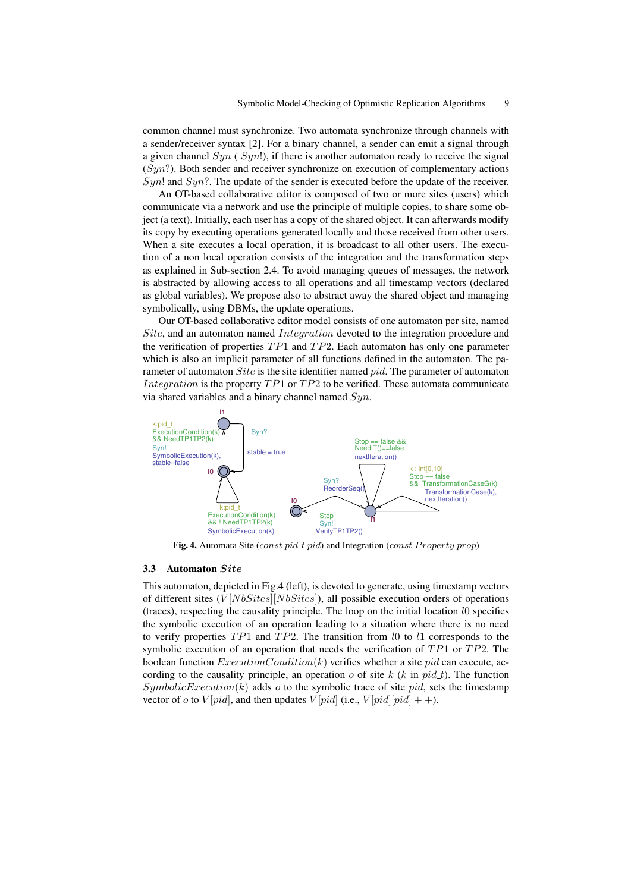common channel must synchronize. Two automata synchronize through channels with a sender/receiver syntax [2]. For a binary channel, a sender can emit a signal through a given channel  $Syn$  ( $Syn!$ ), if there is another automaton ready to receive the signal  $(Syn?)$ . Both sender and receiver synchronize on execution of complementary actions  $Syn!$  and  $Syn?$ . The update of the sender is executed before the update of the receiver.

An OT-based collaborative editor is composed of two or more sites (users) which communicate via a network and use the principle of multiple copies, to share some object (a text). Initially, each user has a copy of the shared object. It can afterwards modify its copy by executing operations generated locally and those received from other users. When a site executes a local operation, it is broadcast to all other users. The execution of a non local operation consists of the integration and the transformation steps as explained in Sub-section 2.4. To avoid managing queues of messages, the network is abstracted by allowing access to all operations and all timestamp vectors (declared as global variables). We propose also to abstract away the shared object and managing symbolically, using DBMs, the update operations.

Our OT-based collaborative editor model consists of one automaton per site, named Site, and an automaton named Integration devoted to the integration procedure and the verification of properties  $TP1$  and  $TP2$ . Each automaton has only one parameter which is also an implicit parameter of all functions defined in the automaton. The parameter of automaton *Site* is the site identifier named *pid*. The parameter of automaton *Integration* is the property  $TP1$  or  $TP2$  to be verified. These automata communicate via shared variables and a binary channel named  $Syn$ .



Fig. 4. Automata Site (const pid\_t pid) and Integration (const Property prop)

### 3.3 Automaton Site

This automaton, depicted in Fig.4 (left), is devoted to generate, using timestamp vectors of different sites  $(V[NbSttes] [NbSttes] )$ , all possible execution orders of operations (traces), respecting the causality principle. The loop on the initial location l0 specifies the symbolic execution of an operation leading to a situation where there is no need to verify properties  $TP1$  and  $TP2$ . The transition from l0 to l1 corresponds to the symbolic execution of an operation that needs the verification of  $TP1$  or  $TP2$ . The boolean function  $ExecutionCondition(k)$  verifies whether a site pid can execute, according to the causality principle, an operation o of site k  $(k \text{ in } pid\_t)$ . The function  $SymbolicExecution(k)$  adds o to the symbolic trace of site pid, sets the timestamp vector of o to  $V[pid]$ , and then updates  $V[pid]$  (i.e.,  $V[pid][pid]$  + +).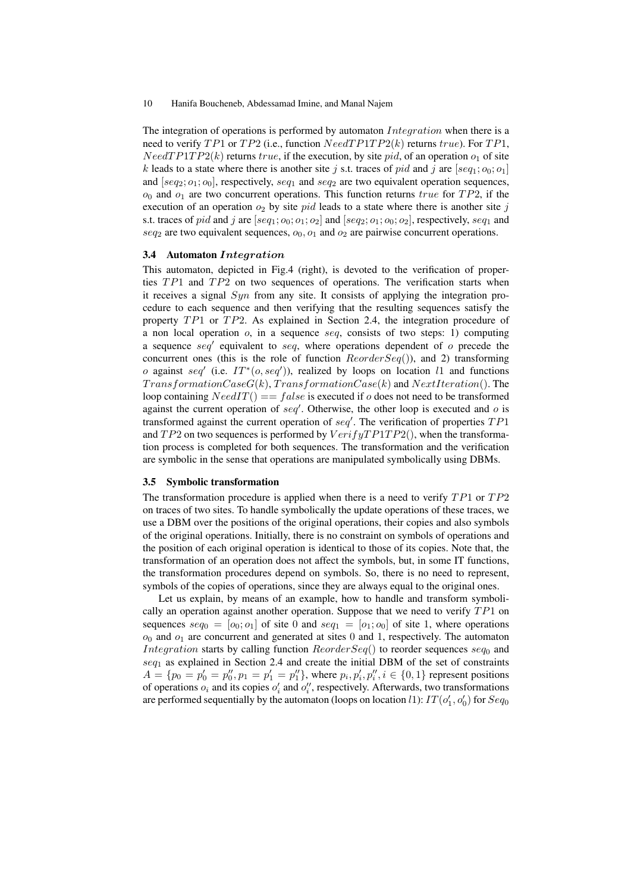The integration of operations is performed by automaton  $Integration$  when there is a need to verify  $TP1$  or  $TP2$  (i.e., function  $NeedTP1TP2(k)$  returns  $true$ ). For  $TP1$ ,  $NeedT P1TP2(k)$  returns true, if the execution, by site pid, of an operation  $o<sub>1</sub>$  of site k leads to a state where there is another site j s.t. traces of pid and j are  $[seq_1; o_0; o_1]$ and  $[seq_2; o_1; o_0]$ , respectively,  $seq_1$  and  $seq_2$  are two equivalent operation sequences,  $o_0$  and  $o_1$  are two concurrent operations. This function returns true for TP2, if the execution of an operation  $o_2$  by site pid leads to a state where there is another site j s.t. traces of pid and j are  $[seq_1; o_0; o_1; o_2]$  and  $[seq_2; o_1; o_0; o_2]$ , respectively,  $seq_1$  and  $seq_2$  are two equivalent sequences,  $o_0$ ,  $o_1$  and  $o_2$  are pairwise concurrent operations.

### 3.4 Automaton Integration

This automaton, depicted in Fig.4 (right), is devoted to the verification of properties  $TP1$  and  $TP2$  on two sequences of operations. The verification starts when it receives a signal  $Syn$  from any site. It consists of applying the integration procedure to each sequence and then verifying that the resulting sequences satisfy the property  $TP1$  or  $TP2$ . As explained in Section 2.4, the integration procedure of a non local operation  $o$ , in a sequence seq, consists of two steps: 1) computing a sequence  $seq'$  equivalent to  $seq$ , where operations dependent of  $o$  precede the concurrent ones (this is the role of function  $ReorderSeq()$ ), and 2) transforming o against seq' (i.e.  $IT^*(o, seq')$ ), realized by loops on location l1 and functions  $TransformationCaseG(k)$ ,  $TransformationCase$ loop containing  $NeedIT() == false$  is executed if o does not need to be transformed against the current operation of  $seq'$ . Otherwise, the other loop is executed and  $o$  is transformed against the current operation of  $seq'$ . The verification of properties  $TP1$ and  $TP2$  on two sequences is performed by  $VerifyTP1TP2()$ , when the transformation process is completed for both sequences. The transformation and the verification are symbolic in the sense that operations are manipulated symbolically using DBMs.

### 3.5 Symbolic transformation

The transformation procedure is applied when there is a need to verify  $TP1$  or  $TP2$ on traces of two sites. To handle symbolically the update operations of these traces, we use a DBM over the positions of the original operations, their copies and also symbols of the original operations. Initially, there is no constraint on symbols of operations and the position of each original operation is identical to those of its copies. Note that, the transformation of an operation does not affect the symbols, but, in some IT functions, the transformation procedures depend on symbols. So, there is no need to represent, symbols of the copies of operations, since they are always equal to the original ones.

Let us explain, by means of an example, how to handle and transform symbolically an operation against another operation. Suppose that we need to verify  $TP1$  on sequences  $seq_0 = [o_0; o_1]$  of site 0 and  $seq_1 = [o_1; o_0]$  of site 1, where operations  $o_0$  and  $o_1$  are concurrent and generated at sites 0 and 1, respectively. The automaton *Integration* starts by calling function  $ReorderSeq()$  to reorder sequences  $seq_0$  and  $seq<sub>1</sub>$  as explained in Section 2.4 and create the initial DBM of the set of constraints  $A = \{p_0 = p'_0 = p''_0, p_1 = p'_1 = p''_1\}$ , where  $p_i, p'_i, p''_i, i \in \{0, 1\}$  represent positions of operations  $o_i$  and its copies  $o'_i$  and  $o''_i$ , respectively. Afterwards, two transformations are performed sequentially by the automaton (loops on location  $l$ 1):  $IT(o'_1, o'_0)$  for  $Seq_0$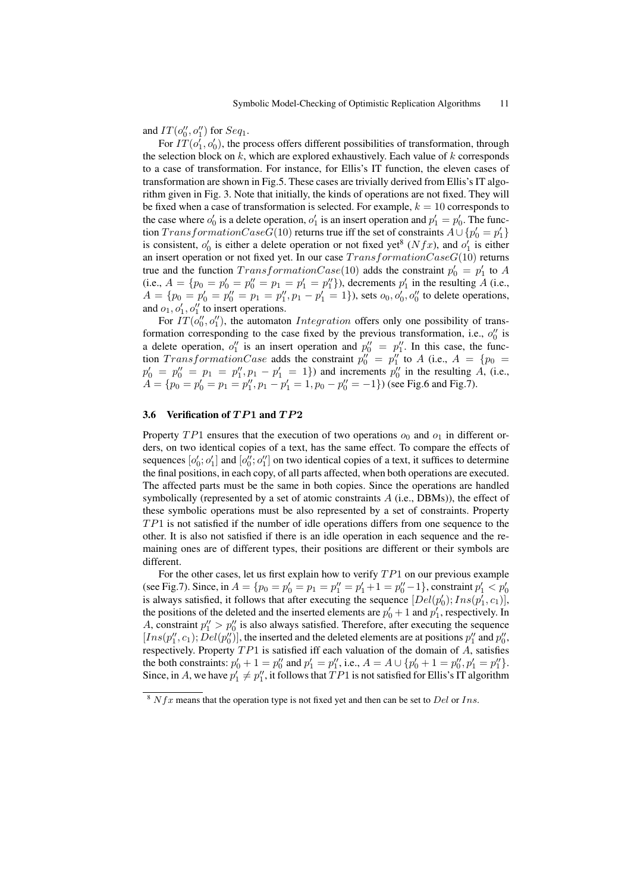and  $IT(o''_0, o''_1)$  for  $Seq_1$ .

For  $IT(o'_1, o'_0)$ , the process offers different possibilities of transformation, through the selection block on  $k$ , which are explored exhaustively. Each value of  $k$  corresponds to a case of transformation. For instance, for Ellis's IT function, the eleven cases of transformation are shown in Fig.5. These cases are trivially derived from Ellis's IT algorithm given in Fig. 3. Note that initially, the kinds of operations are not fixed. They will be fixed when a case of transformation is selected. For example,  $k = 10$  corresponds to the case where  $o'_0$  is a delete operation,  $o'_1$  is an insert operation and  $p'_1 = p'_0$ . The function  $Transformered(10)$  returns true iff the set of constraints  $A \cup \{p_0' = p_1'\}$ is consistent,  $o'_0$  is either a delete operation or not fixed yet<sup>8</sup> ( $Nfx$ ), and  $o'_1$  is either an insert operation or not fixed yet. In our case  $TransformationCaseG(10)$  returns true and the function  $TransformerCase(10)$  adds the constraint  $p'_0 = p'_1$  to A (i.e.,  $A = \{p_0 = p'_0 = p''_0 = p_1 = p'_1 = p''_1\}$ ), decrements  $p'_1$  in the resulting A (i.e.,  $A = \{p_0 = p'_0 = p''_0 = p_1 = p''_1, p_1 - p'_1 = 1\}$ , sets  $o_0, o'_0, o''_0$  to delete operations, and  $o_1$ ,  $o'_1$ ,  $o''_1$  to insert operations.

For  $IT(o''_0, o''_1)$ , the automaton *Integration* offers only one possibility of transformation corresponding to the case fixed by the previous transformation, i.e.,  $o''_0$  is a delete operation,  $o''_1$  is an insert operation and  $p''_0 = p''_1$ . In this case, the function  $TransformationCase$  adds the constraint  $p''_0 = p''_1$  to A (i.e.,  $A = \{p_0 =$  $p'_0 = p''_0 = p_1 = p''_1, p_1 - p'_1 = 1$  and increments  $p''_0$  in the resulting A, (i.e.,  $A = \{p_0 = p'_0 = p_1 = p''_1, p_1 - p'_1 = 1, p_0 - p''_0 = -1\}$ ) (see Fig.6 and Fig.7).

# 3.6 Verification of  $TP1$  and  $TP2$

Property  $TP1$  ensures that the execution of two operations  $o_0$  and  $o_1$  in different orders, on two identical copies of a text, has the same effect. To compare the effects of sequences  $[o'_0; o'_1]$  and  $[o''_0; o''_1]$  on two identical copies of a text, it suffices to determine the final positions, in each copy, of all parts affected, when both operations are executed. The affected parts must be the same in both copies. Since the operations are handled symbolically (represented by a set of atomic constraints  $A$  (i.e., DBMs)), the effect of these symbolic operations must be also represented by a set of constraints. Property  $TP1$  is not satisfied if the number of idle operations differs from one sequence to the other. It is also not satisfied if there is an idle operation in each sequence and the remaining ones are of different types, their positions are different or their symbols are different.

For the other cases, let us first explain how to verify  $TP1$  on our previous example (see Fig.7). Since, in  $A = \{p_0 = p'_0 = p_1 = p''_1 = p'_1 + 1 = p''_0 - 1\}$ , constraint  $p'_1 < p'_0$  is always satisfied, it follows that after executing the sequence  $[Del(p'_0); Ins(p'_1, c_1)],$ the positions of the deleted and the inserted elements are  $p'_0 + 1$  and  $p'_1$ , respectively. In A, constraint  $p_1'' > p_0''$  is also always satisfied. Therefore, after executing the sequence [Ins(p'', c<sub>1</sub>); Del(p'')], the inserted and the deleted elements are at positions  $p_1''$  and  $p_0''$ , respectively. Property  $TP1$  is satisfied iff each valuation of the domain of  $A$ , satisfies the both constraints:  $p'_0 + 1 = p''_0$  and  $p'_1 = p''_1$ , i.e.,  $A = A \cup \{p'_0 + 1 = p''_0, p'_1 = p''_1\}$ . Since, in A, we have  $p'_1 \neq p''_1$ , it follows that  $TP1$  is not satisfied for Ellis's IT algorithm

 $8 Nfx$  means that the operation type is not fixed yet and then can be set to Del or Ins.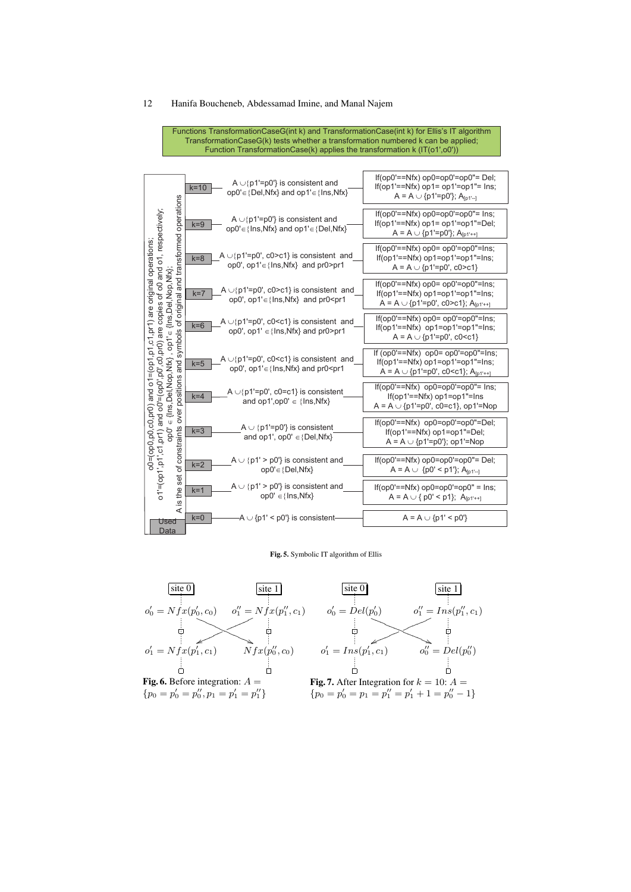Functions TransformationCaseG(int k) and TransformationCase(int k) for Ellis's IT algorithm TransformationCaseG(k) tests whether a transformation numbered k can be applied; Function TransformationCase(k) applies the transformation k (IT(o1',o0'))

|                                                                                                                                                  | A $\cup$ {p1'=p0'} is consistent and<br>$k=10$<br>$op0' \in \{Del,Nfx\}$ and $op1' \in \{Ins,Nfx\}$                                                                                                                                                                                                                                            | $If(op0'==Nfx) op0=op0'=op0"=Del;$<br>If(op1'== $Nfx$ ) op1= op1'=op1"= Ins;<br>A = A $\cup$ {p1'=p0'}; A <sub>[p1'-1</sub>                               |  |  |  |  |
|--------------------------------------------------------------------------------------------------------------------------------------------------|------------------------------------------------------------------------------------------------------------------------------------------------------------------------------------------------------------------------------------------------------------------------------------------------------------------------------------------------|-----------------------------------------------------------------------------------------------------------------------------------------------------------|--|--|--|--|
|                                                                                                                                                  | A $\cup$ {p1'=p0'} is consistent and<br>$k = 9$<br>$op0' \in \{Ins, Nfx\}$ and $op1' \in \{Del, Nfx\}$                                                                                                                                                                                                                                         | $If(op0'==Nfx) op0=op0'=op0"=Ins;$<br>$If(op1'==Nfx) op1 = op1'=op1"=Del;$<br>A = A $\cup$ {p1'=p0'}; A <sub>[p1'++]</sub>                                |  |  |  |  |
| and transformed operations<br>and o1, respectively;<br>=(op1,p1,c1,pr1) are original operations;                                                 | A $\cup$ {p1'=p0', c0>c1} is consistent and<br>$k = 8$<br>op0', op1' $\in$ {lns, Nfx} and pr0>pr1                                                                                                                                                                                                                                              | $If(op0'==Nfx) op0= op0'=op0"=Ins;$<br>$If(op1'==Nfx) op1=op1'=op1"=Ins;$<br>$A = A \cup \{p1'=p0', c0 > c1\}$                                            |  |  |  |  |
| Nop, Nfx);<br>o<br>O<br>đ<br>original                                                                                                            | A $\cup$ {p1'=p0', c0>c1} is consistent and<br>$k=7$<br>op0', op1'∈{lns, Nfx} and pr0 <pr1< td=""><td><math>If(op0'==Nfx) op0=op0'=op0"==Ins;</math><br/><math>If(op1'==Nfx) op1=op1'=op1"=Ins;</math><br/>A = A <math>\cup</math> {p1'=p0', c0&gt;c1}; A<sub>[p1'++]</sub></td></pr1<>                                                        | $If(op0'==Nfx) op0=op0'=op0"==Ins;$<br>$If(op1'==Nfx) op1=op1'=op1"=Ins;$<br>A = A $\cup$ {p1'=p0', c0>c1}; A <sub>[p1'++]</sub>                          |  |  |  |  |
| copies<br>[Ins,Del<br>৳<br>are<br>symbols<br>$.$ op 1' $\in$                                                                                     | A $\cup$ {p1'=p0', c0 <c1} and<br="" consistent="" is=""><math>k=6</math><br/>op0', op1' <math>\in</math>{lns, Nfx} and pr0&gt;pr1</c1}>                                                                                                                                                                                                       | $\text{If}(\text{op}0'=-\text{Nfx})$ op $0=$ op $0'=\text{op}0''=\text{Ins}$ ;<br>$If(op1'==Nfx) op1=op1'=op1"=Ins;$<br>$A = A \cup \{p1'=p0', c0 < c1\}$ |  |  |  |  |
| c0,pr0)<br>Nop,Nfx}<br>and<br>ō.<br>positions<br>and o'l<br>op0'<br>Dei,<br>ĭ<br>and o0'<br>{Ins,<br>o0=(op0,p0,c0,pr0)<br>over<br>$\cup$<br>oba | A $\cup$ {p1'=p0', c0 <c1} and<br="" consistent="" is=""><math>k=5</math><br/>op0', op1'∈{lns, Nfx} and pr0<pr1< td=""><td colspan="5">If <math>(op0'==Nfx)</math> <math>op0=op0'=-op0"==Ins</math>;<br/><math>If(op1'==Nfx) op1=op1'=op1"=Ins;</math><br/>A = A <math>\cup</math> {p1'=p0', c0<c1}; a<sub="">[p1'++]</c1};></td></pr1<></c1}> | If $(op0'==Nfx)$ $op0=op0'=-op0"==Ins$ ;<br>$If(op1'==Nfx) op1=op1'=op1"=Ins;$<br>A = A $\cup$ {p1'=p0', c0 <c1}; a<sub="">[p1'++]</c1};>                 |  |  |  |  |
|                                                                                                                                                  | A $\cup$ {p1'=p0', c0=c1} is consistent<br>$k=4$<br>and $op1',op0' \in \{Ins, Nfx\}$                                                                                                                                                                                                                                                           | $If(op0'==Nfx) op0=op0'=op0"==Ins;$<br>$If(op1'==Nfx) op1=op1"=Ins$<br>$A = A \cup \{p1'=p0', c0=c1\}$ , op1'=Nop                                         |  |  |  |  |
|                                                                                                                                                  | A $\cup$ {p1'=p0'} is consistent<br>$k = 3$<br>and op1', $op0' \in \{Del,Nfx\}$                                                                                                                                                                                                                                                                | $If(op0'==Nfx) op0=op0'=op0"=Del;$<br>$If(op1'==Nfx) op1=op1"=Del;$<br>$A = A \cup \{p1'=p0'\};$ op1'=Nop                                                 |  |  |  |  |
| set of constraints<br>$o1' = (op1', p1', c1, pr1)$                                                                                               | $A \cup \{p1\} > p0$ ' is consistent and<br>$k=2$<br>$op0' \in \{Del,Nfx\}$                                                                                                                                                                                                                                                                    | $If(op0'==Nfx) op0=op0'=op0"=Del;$<br>$A = A \cup \{p0' < p1'\}; A_{[p1'-]}$                                                                              |  |  |  |  |
| the<br><u>(v</u>                                                                                                                                 | $A \cup \{p1\} > p0$ is consistent and<br>$k=1$<br>$opp' \in \{Ins, Nfx\}$                                                                                                                                                                                                                                                                     | $If(op0'=-Nfx) op0=op0'=op0" = Ins;$<br>$A = A \cup \{p0' < p1\}; A_{[p1'+1]}$                                                                            |  |  |  |  |
| ⋖<br>Used<br>Data                                                                                                                                | $k=0$<br>-A $\cup$ {p1' < p0'} is consistent-                                                                                                                                                                                                                                                                                                  | $A = A \cup \{p1' < p0'\}$                                                                                                                                |  |  |  |  |

Fig. 5. Symbolic IT algorithm of Ellis

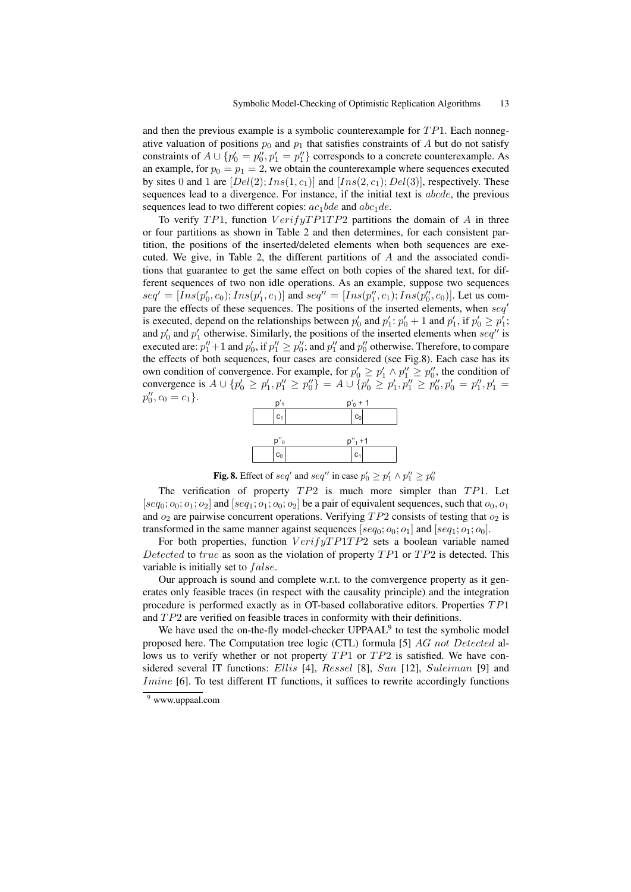and then the previous example is a symbolic counterexample for  $TP1$ . Each nonnegative valuation of positions  $p_0$  and  $p_1$  that satisfies constraints of A but do not satisfy constraints of  $A \cup \{p'_0 = p''_0, p'_1 = p''_1\}$  corresponds to a concrete counterexample. As an example, for  $p_0 = p_1 = 2$ , we obtain the counterexample where sequences executed by sites 0 and 1 are  $[Del(2); Ins(1, c_1)]$  and  $[Ins(2, c_1); Del(3)]$ , respectively. These sequences lead to a divergence. For instance, if the initial text is *abcde*, the previous sequences lead to two different copies:  $ac_1bde$  and  $abc_1de$ .

To verify TP1, function  $VerifyTPTP1TP2$  partitions the domain of A in three or four partitions as shown in Table 2 and then determines, for each consistent partition, the positions of the inserted/deleted elements when both sequences are executed. We give, in Table 2, the different partitions of  $A$  and the associated conditions that guarantee to get the same effect on both copies of the shared text, for different sequences of two non idle operations. As an example, suppose two sequences  $seq' = [Ins(p'_0, c_0); Ins(p'_1, c_1)]$  and  $seq'' = [Ins(p''_1, c_1); Ins(p''_0, c_0)].$  Let us compare the effects of these sequences. The positions of the inserted elements, when seq' is executed, depend on the relationships between  $p'_0$  and  $p'_1$ :  $p'_0 + 1$  and  $p'_1$ , if  $p'_0 \ge p'_1$ ; and  $p'_0$  and  $p'_1$  otherwise. Similarly, the positions of the inserted elements when  $seq''$  is executed are:  $p''_1 + 1$  and  $p'_0$ , if  $p''_1 \geq p''_0$ ; and  $p''_1$  and  $p''_0$  otherwise. Therefore, to compare the effects of both sequences, four cases are considered (see Fig.8). Each case has its own condition of convergence. For example, for  $p'_0 \ge p'_1 \wedge p''_1 \ge p''_0$ , the condition of convergence is  $A \cup \{p'_0 \ge p'_1, p''_1 \ge p''_0\} = A \cup \{p'_0 \ge p'_1, p''_1 \ge p''_0, p'_0 = p''_1, p'_1 = 1\}$  $p''_0, c_0 = c_1$ .



**Fig. 8.** Effect of seq' and seq'' in case  $p'_0 \ge p'_1 \wedge p''_1 \ge p''_0$ 

The verification of property  $TP2$  is much more simpler than  $TP1$ . Let  $[seq_0; o_0; o_1; o_2]$  and  $[seq_1; o_1; o_0; o_2]$  be a pair of equivalent sequences, such that  $o_0, o_1$ and  $o_2$  are pairwise concurrent operations. Verifying  $TP2$  consists of testing that  $o_2$  is transformed in the same manner against sequences [ $seq_0; o_0; o_1$ ] and [ $seq_1; o_1; o_0$ ].

For both properties, function  $VerifyTP1TP2$  sets a boolean variable named Detected to true as soon as the violation of property  $TP1$  or  $TP2$  is detected. This variable is initially set to *false*.

Our approach is sound and complete w.r.t. to the comvergence property as it generates only feasible traces (in respect with the causality principle) and the integration procedure is performed exactly as in OT-based collaborative editors. Properties T P1 and  $TP2$  are verified on feasible traces in conformity with their definitions.

We have used the on-the-fly model-checker  $UPPAAL<sup>9</sup>$  to test the symbolic model proposed here. The Computation tree logic (CTL) formula [5] AG not Detected allows us to verify whether or not property  $TP1$  or  $TP2$  is satisfied. We have considered several IT functions: Ellis [4], Ressel [8], Sun [12], Suleiman [9] and *Imine* [6]. To test different IT functions, it suffices to rewrite accordingly functions

<sup>9</sup> www.uppaal.com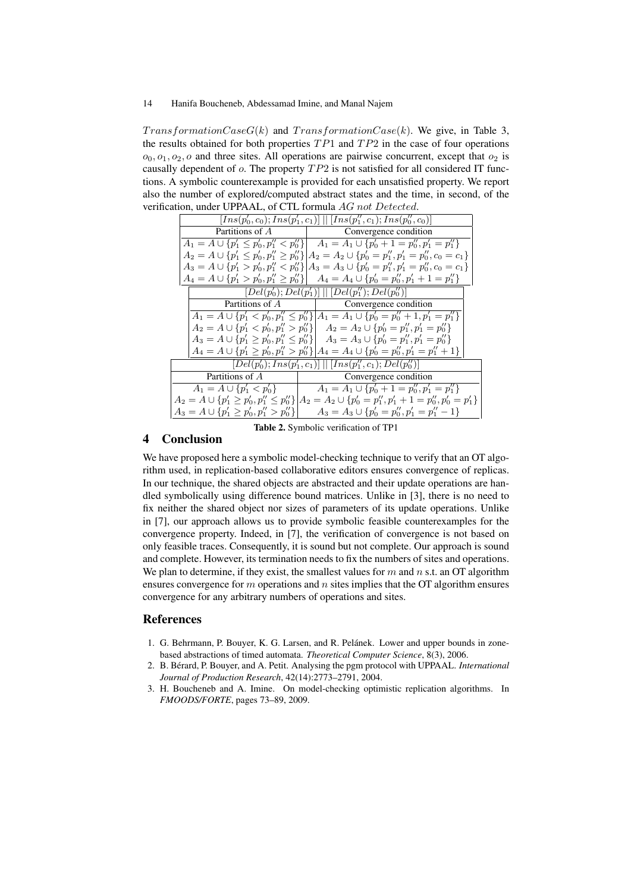$TransformationCaseG(k)$  and  $TransformationCase(k)$ . We give, in Table 3, the results obtained for both properties  $TP1$  and  $TP2$  in the case of four operations  $o_0$ ,  $o_1$ ,  $o_2$ ,  $o$  and three sites. All operations are pairwise concurrent, except that  $o_2$  is causally dependent of  $o$ . The property  $TP2$  is not satisfied for all considered IT functions. A symbolic counterexample is provided for each unsatisfied property. We report also the number of explored/computed abstract states and the time, in second, of the verification, under UPPAAL, of CTL formula AG not Detected.

|                                                   | $[Ins(p'_0, c_0); Ins(p'_1, c_1)] \    [Ins(p''_1, c_1); Ins(p''_0, c_0)]$                                     |  |  |  |  |
|---------------------------------------------------|----------------------------------------------------------------------------------------------------------------|--|--|--|--|
| Partitions of A                                   | Convergence condition                                                                                          |  |  |  |  |
|                                                   | $A_1 = A \cup \{p'_1 \leq p'_0, p''_1 < p''_0\}$ $A_1 = A_1 \cup \{p'_0 + 1 = p''_0, p'_1 = p''_1\}$           |  |  |  |  |
|                                                   | $A_2 = A \cup \{p'_1 \leq p'_0, p''_1 \geq p''_0\}$ $A_2 = A_2 \cup \{p'_0 = p''_1, p'_1 = p''_0, c_0 = c_1\}$ |  |  |  |  |
|                                                   | $A_3 = A \cup \{p'_1 > p'_0, p''_1 < p''_0\}$ $A_3 = A_3 \cup \{p'_0 = p''_1, p'_1 = p''_0, c_0 = c_1\}$       |  |  |  |  |
|                                                   | $A_4 = A \cup \{p'_1 > p'_0, p''_1 \geq p''_0\}$ $A_4 = A_4 \cup \{p'_0 = p''_0, p'_1 + 1 = p''_1\}$           |  |  |  |  |
|                                                   | $[Del(p'_0);Del(p'_1)]$ $[Del(p''_1);Del(p''_0)]$                                                              |  |  |  |  |
|                                                   |                                                                                                                |  |  |  |  |
|                                                   | $A_1 = A \cup \{p'_1 < p'_0, p''_1 \le p''_0\}$ $ A_1 = A_1 \cup \{p'_0 = p''_0 + 1, p'_1 = p''_1\}$           |  |  |  |  |
|                                                   | $A_2 = A \cup \{p'_1 < p'_0, p''_1 > p''_0\}$ $A_2 = A_2 \cup \{p'_0 = p''_1, p'_1 = p''_0\}$                  |  |  |  |  |
| $A_3 = A \cup \{p'_1 \ge p'_0, p''_1 \le p''_0\}$ | $A_3 = A_3 \cup \{p'_0 = p''_1, p'_1 = p''_0\}$                                                                |  |  |  |  |
|                                                   | $A_4 = A \cup \{p'_1 \ge p'_0, p''_1 > p''_0\}$ $A_4 = A_4 \cup \{p'_0 = p''_0, p'_1 = p''_1 + 1\}$            |  |  |  |  |
|                                                   | $[Del(p'_0); Ins(p'_1, c_1)]$ $[Ins(p''_1, c_1); Del(p''_0)]$                                                  |  |  |  |  |
| Partitions of A                                   | Convergence condition                                                                                          |  |  |  |  |
| $A_1 = A \cup \{p'_1 < p'_0\}$                    | $A_1 = A_1 \cup \{p'_0 + 1 = p''_0, p'_1 = p''_1\}$                                                            |  |  |  |  |
| $A_2 = A \cup \{p'_1 \ge p'_0, p''_1 \le p''_0\}$ | $A_2 = A_2 \cup \{p'_0 = p''_1, p'_1 + 1 = p''_0, p'_0 = p'_1\}$                                               |  |  |  |  |
| $A_3 = A \cup \{p'_1 \ge p'_0, p''_1 > p''_0\}$   | $A_3 = A_3 \cup \{p'_0 = p''_0, p'_1 = p''_1 - 1\}$                                                            |  |  |  |  |
|                                                   |                                                                                                                |  |  |  |  |

Table 2. Symbolic verification of TP1

# 4 Conclusion

We have proposed here a symbolic model-checking technique to verify that an OT algorithm used, in replication-based collaborative editors ensures convergence of replicas. In our technique, the shared objects are abstracted and their update operations are handled symbolically using difference bound matrices. Unlike in [3], there is no need to fix neither the shared object nor sizes of parameters of its update operations. Unlike in [7], our approach allows us to provide symbolic feasible counterexamples for the convergence property. Indeed, in [7], the verification of convergence is not based on only feasible traces. Consequently, it is sound but not complete. Our approach is sound and complete. However, its termination needs to fix the numbers of sites and operations. We plan to determine, if they exist, the smallest values for  $m$  and  $n$  s.t. an OT algorithm ensures convergence for  $m$  operations and  $n$  sites implies that the OT algorithm ensures convergence for any arbitrary numbers of operations and sites.

# References

- 1. G. Behrmann, P. Bouyer, K. G. Larsen, and R. Pelánek. Lower and upper bounds in zonebased abstractions of timed automata. *Theoretical Computer Science*, 8(3), 2006.
- 2. B. Bérard, P. Bouyer, and A. Petit. Analysing the pgm protocol with UPPAAL. *International Journal of Production Research*, 42(14):2773–2791, 2004.
- 3. H. Boucheneb and A. Imine. On model-checking optimistic replication algorithms. In *FMOODS/FORTE*, pages 73–89, 2009.